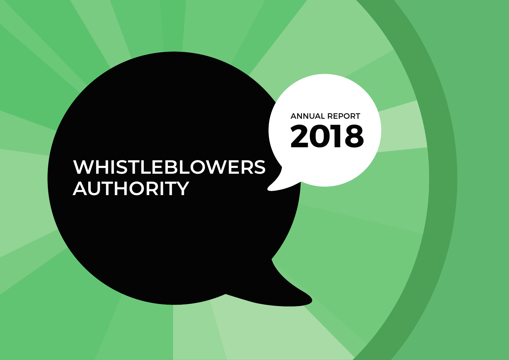# **WHISTLEBLOWERS AUTHORITY**

ANNUAL REPORT

**2018**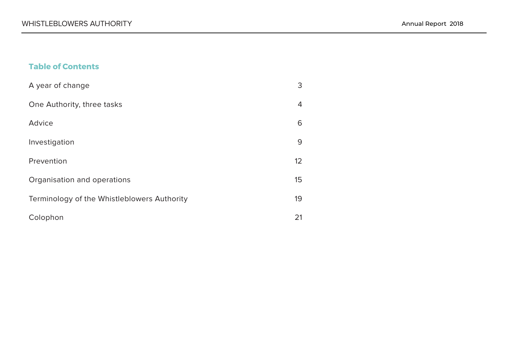# **Table of Contents**

| A year of change                            | 3  |
|---------------------------------------------|----|
| One Authority, three tasks                  | 4  |
| Advice                                      | 6  |
| Investigation                               | 9  |
| Prevention                                  | 12 |
| Organisation and operations                 | 15 |
| Terminology of the Whistleblowers Authority | 19 |
| Colophon                                    | 21 |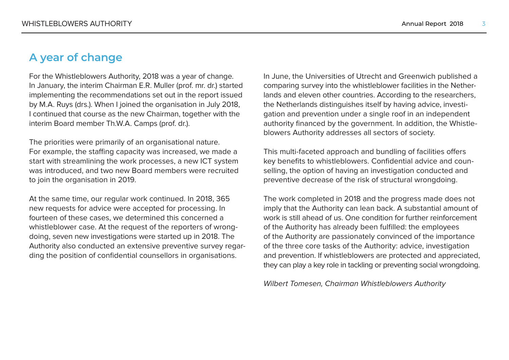# <span id="page-2-0"></span>**A year of change**

For the Whistleblowers Authority, 2018 was a year of change. In January, the interim Chairman E.R. Muller (prof. mr. dr.) started implementing the recommendations set out in the report issued by M.A. Ruys (drs.). When I joined the organisation in July 2018, I continued that course as the new Chairman, together with the interim Board member Th.W.A. Camps (prof. dr.).

The priorities were primarily of an organisational nature. For example, the staffing capacity was increased, we made a start with streamlining the work processes, a new ICT system was introduced, and two new Board members were recruited to join the organisation in 2019.

At the same time, our regular work continued. In 2018, 365 new requests for advice were accepted for processing. In fourteen of these cases, we determined this concerned a whistleblower case. At the request of the reporters of wrongdoing, seven new investigations were started up in 2018. The Authority also conducted an extensive preventive survey regarding the position of confidential counsellors in organisations.

In June, the Universities of Utrecht and Greenwich published a comparing survey into the whistleblower facilities in the Netherlands and eleven other countries. According to the researchers, the Netherlands distinguishes itself by having advice, investigation and prevention under a single roof in an independent authority financed by the government. In addition, the Whistleblowers Authority addresses all sectors of society.

This multi-faceted approach and bundling of facilities offers key benefits to whistleblowers. Confidential advice and counselling, the option of having an investigation conducted and preventive decrease of the risk of structural wrongdoing.

The work completed in 2018 and the progress made does not imply that the Authority can lean back. A substantial amount of work is still ahead of us. One condition for further reinforcement of the Authority has already been fulfilled: the employees of the Authority are passionately convinced of the importance of the three core tasks of the Authority: advice, investigation and prevention. If whistleblowers are protected and appreciated, they can play a key role in tackling or preventing social wrongdoing.

Wilbert Tomesen, Chairman Whistleblowers Authority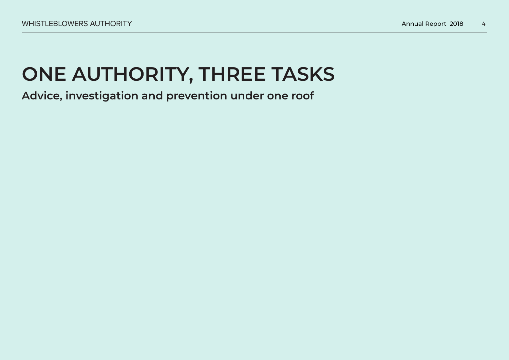# <span id="page-3-0"></span>**ONE AUTHORITY, THREE TASKS**

**Advice, investigation and prevention under one roof**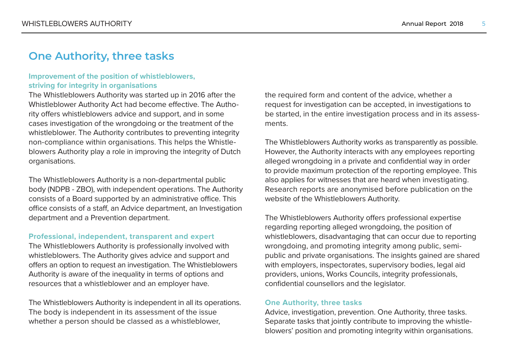# **One Authority, three tasks**

### **Improvement of the position of whistleblowers, striving for integrity in organisations**

The Whistleblowers Authority was started up in 2016 after the Whistleblower Authority Act had become effective. The Authority offers whistleblowers advice and support, and in some cases investigation of the wrongdoing or the treatment of the whistleblower. The Authority contributes to preventing integrity non-compliance within organisations. This helps the Whistleblowers Authority play a role in improving the integrity of Dutch organisations.

The Whistleblowers Authority is a non-departmental public body (NDPB - ZBO), with independent operations. The Authority consists of a Board supported by an administrative office. This office consists of a staff, an Advice department, an Investigation department and a Prevention department.

### **Professional, independent, transparent and expert**

The Whistleblowers Authority is professionally involved with whistleblowers. The Authority gives advice and support and offers an option to request an investigation. The Whistleblowers Authority is aware of the inequality in terms of options and resources that a whistleblower and an employer have.

The Whistleblowers Authority is independent in all its operations. The body is independent in its assessment of the issue whether a person should be classed as a whistleblower,

the required form and content of the advice, whether a request for investigation can be accepted, in investigations to be started, in the entire investigation process and in its assessments.

The Whistleblowers Authority works as transparently as possible. However, the Authority interacts with any employees reporting alleged wrongdoing in a private and confidential way in order to provide maximum protection of the reporting employee. This also applies for witnesses that are heard when investigating. Research reports are anonymised before publication on the website of the Whistleblowers Authority.

The Whistleblowers Authority offers professional expertise regarding reporting alleged wrongdoing, the position of whistleblowers, disadvantaging that can occur due to reporting wrongdoing, and promoting integrity among public, semipublic and private organisations. The insights gained are shared with employers, inspectorates, supervisory bodies, legal aid providers, unions, Works Councils, integrity professionals, confidential counsellors and the legislator.

### **One Authority, three tasks**

Advice, investigation, prevention. One Authority, three tasks. Separate tasks that jointly contribute to improving the whistleblowers' position and promoting integrity within organisations.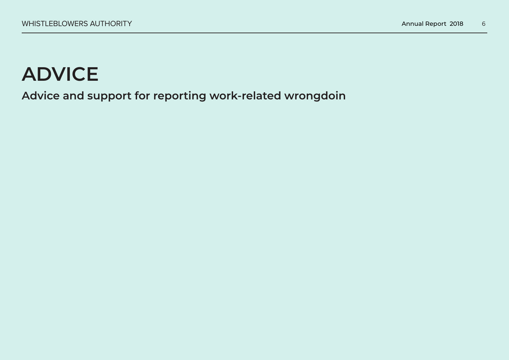# <span id="page-5-0"></span>**ADVICE**

**Advice and support for reporting work-related wrongdoin**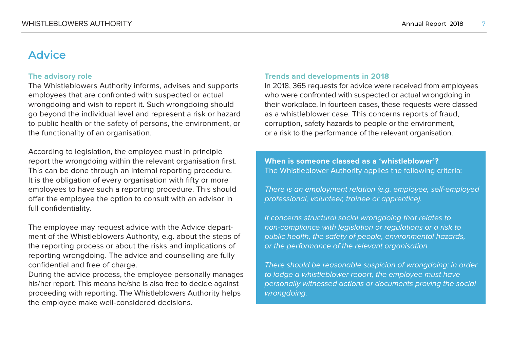# **Advice**

### **The advisory role**

The Whistleblowers Authority informs, advises and supports employees that are confronted with suspected or actual wrongdoing and wish to report it. Such wrongdoing should go beyond the individual level and represent a risk or hazard to public health or the safety of persons, the environment, or the functionality of an organisation.

According to legislation, the employee must in principle report the wrongdoing within the relevant organisation first. This can be done through an internal reporting procedure. It is the obligation of every organisation with fifty or more employees to have such a reporting procedure. This should offer the employee the option to consult with an advisor in full confidentiality.

The employee may request advice with the Advice department of the Whistleblowers Authority, e.g. about the steps of the reporting process or about the risks and implications of reporting wrongdoing. The advice and counselling are fully confidential and free of charge.

During the advice process, the employee personally manages his/her report. This means he/she is also free to decide against proceeding with reporting. The Whistleblowers Authority helps the employee make well-considered decisions.

### **Trends and developments in 2018**

In 2018, 365 requests for advice were received from employees who were confronted with suspected or actual wrongdoing in their workplace. In fourteen cases, these requests were classed as a whistleblower case. This concerns reports of fraud, corruption, safety hazards to people or the environment, or a risk to the performance of the relevant organisation.

**When is someone classed as a 'whistleblower'?** The Whistleblower Authority applies the following criteria:

There is an employment relation (e.g. employee, self-employed professional, volunteer, trainee or apprentice).

It concerns structural social wrongdoing that relates to non-compliance with legislation or regulations or a risk to public health, the safety of people, environmental hazards, or the performance of the relevant organisation.

There should be reasonable suspicion of wrongdoing: in order to lodge a whistleblower report, the employee must have personally witnessed actions or documents proving the social wrongdoing.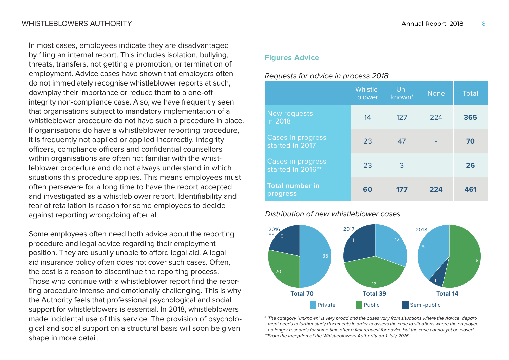In most cases, employees indicate they are disadvantaged by filing an internal report. This includes isolation, bullying, threats, transfers, not getting a promotion, or termination of employment. Advice cases have shown that employers often do not immediately recognise whistleblower reports at such, downplay their importance or reduce them to a one-off integrity non-compliance case. Also, we have frequently seen that organisations subject to mandatory implementation of a whistleblower procedure do not have such a procedure in place. If organisations do have a whistleblower reporting procedure, it is frequently not applied or applied incorrectly. Integrity officers, compliance officers and confidential counsellors within organisations are often not familiar with the whistleblower procedure and do not always understand in which

situations this procedure applies. This means employees must often persevere for a long time to have the report accepted and investigated as a whistleblower report. Identifiability and fear of retaliation is reason for some employees to decide against reporting wrongdoing after all.

Some employees often need both advice about the reporting procedure and legal advice regarding their employment position. They are usually unable to afford legal aid. A legal aid insurance policy often does not cover such cases. Often, the cost is a reason to discontinue the reporting process. Those who continue with a whistleblower report find the reporting procedure intense and emotionally challenging. This is why the Authority feels that professional psychological and social support for whistleblowers is essential. In 2018, whistleblowers made incidental use of this service. The provision of psychological and social support on a structural basis will soon be given shape in more detail.

## **Figures Advice**

# Requests for advice in process 2018

|                                        | <b>Whistle-</b><br>blower | $Un-$<br>known <sup>*</sup> | <b>None</b> | <b>Total</b> |
|----------------------------------------|---------------------------|-----------------------------|-------------|--------------|
| New requests<br>in 2018                | 14                        | 127                         | 224         | 365          |
| Cases in progress<br>started in 2017   | 23                        | 47                          |             | 70           |
| Cases in progress<br>started in 2016** | 23                        | 3                           |             | 26           |
| <b>Total number in</b><br>progress     | 60                        | 177                         | 224         | 461          |

# Distribution of new whistleblower cases



\* The category "unknown" is very broad and the cases vary from situations where the Advice department needs to further study documents in order to assess the case to situations where the employee no longer responds for some time after a first request for advice but the case cannot yet be closed. \*\*From the inception of the Whistleblowers Authority on 1 July 2016.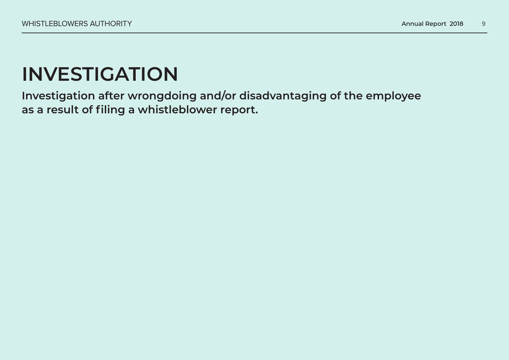# <span id="page-8-0"></span>**INVESTIGATION**

**Investigation after wrongdoing and/or disadvantaging of the employee as a result of filing a whistleblower report.**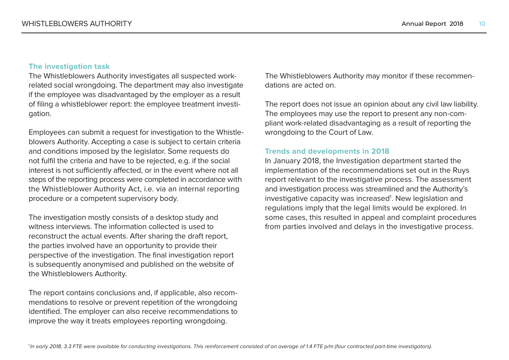# **The investigation task**

The Whistleblowers Authority investigates all suspected workrelated social wrongdoing. The department may also investigate if the employee was disadvantaged by the employer as a result of filing a whistleblower report: the employee treatment investigation.

Employees can submit a request for investigation to the Whistleblowers Authority. Accepting a case is subject to certain criteria and conditions imposed by the legislator. Some requests do not fulfil the criteria and have to be rejected, e.g. if the social interest is not sufficiently affected, or in the event where not all steps of the reporting process were completed in accordance with the Whistleblower Authority Act, i.e. via an internal reporting procedure or a competent supervisory body.

The investigation mostly consists of a desktop study and witness interviews. The information collected is used to reconstruct the actual events. After sharing the draft report, the parties involved have an opportunity to provide their perspective of the investigation. The final investigation report is subsequently anonymised and published on the website of the Whistleblowers Authority.

The report contains conclusions and, if applicable, also recommendations to resolve or prevent repetition of the wrongdoing identified. The employer can also receive recommendations to improve the way it treats employees reporting wrongdoing.

The Whistleblowers Authority may monitor if these recommendations are acted on.

The report does not issue an opinion about any civil law liability. The employees may use the report to present any non-compliant work-related disadvantaging as a result of reporting the wrongdoing to the Court of Law.

### **Trends and developments in 2018**

In January 2018, the Investigation department started the implementation of the recommendations set out in the Ruys report relevant to the investigative process. The assessment and investigation process was streamlined and the Authority's investigative capacity was increased<sup>1</sup>. New legislation and regulations imply that the legal limits would be explored. In some cases, this resulted in appeal and complaint procedures from parties involved and delays in the investigative process.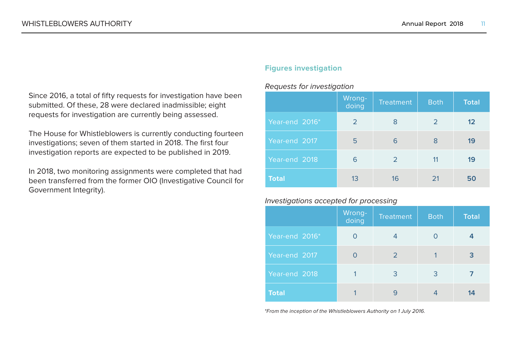Since 2016, a total of fifty requests for investigation have been submitted. Of these, 28 were declared inadmissible; eight requests for investigation are currently being assessed.

The House for Whistleblowers is currently conducting fourteen investigations; seven of them started in 2018. The first four investigation reports are expected to be published in 2019.

In 2018, two monitoring assignments were completed that had been transferred from the former OIO (Investigative Council for Government Integrity).

## **Figures investigation**

### Requests for investigation

|                | Wrong-<br>doing | <b>Treatment</b> | <b>Both</b> | <b>Total</b> |
|----------------|-----------------|------------------|-------------|--------------|
| Year-end 2016* | 2               | 8                | 2           | 12           |
| Year-end 2017  | 5               | 6                | 8           | 19           |
| Year-end 2018  | 6               | 2                | 11          | 19           |
| <b>Total</b>   | 13              | 16               | 21          | 50           |

### Investigations accepted for processing

|                | Wrong-<br>doing | <b>Treatment</b> | <b>Both</b> | <b>Total</b> |
|----------------|-----------------|------------------|-------------|--------------|
| Year-end 2016* | O               | 4                | ∩           | 4            |
| Year-end 2017  | O               | $\overline{2}$   |             | 3            |
| Year-end 2018  |                 | 3                | 3           |              |
| <b>Total</b>   |                 | q                |             | 14           |

\*From the inception of the Whistleblowers Authority on 1 July 2016.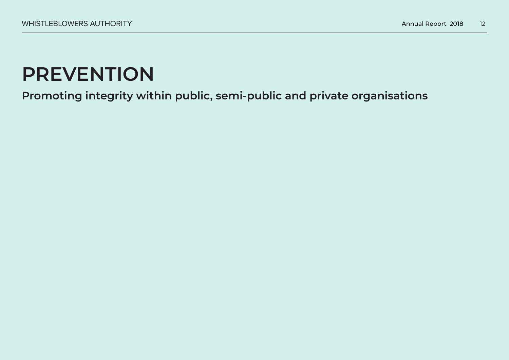# <span id="page-11-0"></span>**PREVENTION**

**Promoting integrity within public, semi-public and private organisations**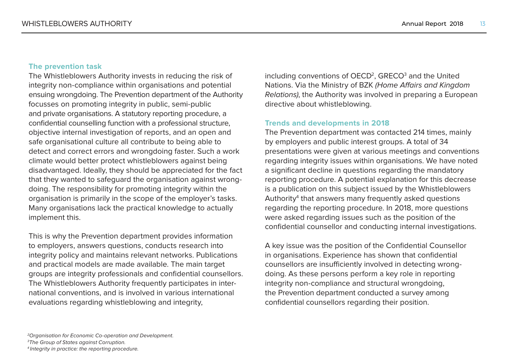# **The prevention task**

The Whistleblowers Authority invests in reducing the risk of integrity non-compliance within organisations and potential ensuing wrongdoing. The Prevention department of the Authority focusses on promoting integrity in public, semi-public and private organisations. A statutory reporting procedure, a confidential counselling function with a professional structure, objective internal investigation of reports, and an open and safe organisational culture all contribute to being able to detect and correct errors and wrongdoing faster. Such a work climate would better protect whistleblowers against being disadvantaged. Ideally, they should be appreciated for the fact that they wanted to safeguard the organisation against wrongdoing. The responsibility for promoting integrity within the organisation is primarily in the scope of the employer's tasks. Many organisations lack the practical knowledge to actually implement this.

This is why the Prevention department provides information to employers, answers questions, conducts research into integrity policy and maintains relevant networks. Publications and practical models are made available. The main target groups are integrity professionals and confidential counsellors. The Whistleblowers Authority frequently participates in international conventions, and is involved in various international evaluations regarding whistleblowing and integrity,

including conventions of OECD<sup>2</sup>, GRECO $^3$  and the United Nations. Via the Ministry of BZK (Home Affairs and Kingdom Relations), the Authority was involved in preparing a European directive about whistleblowing.

### **Trends and developments in 2018**

The Prevention department was contacted 214 times, mainly by employers and public interest groups. A total of 34 presentations were given at various meetings and conventions regarding integrity issues within organisations. We have noted a significant decline in questions regarding the mandatory reporting procedure. A potential explanation for this decrease is a publication on this subject issued by the Whistleblowers Authority $\rm 4$  that answers many frequently asked questions regarding the reporting procedure. In 2018, more questions were asked regarding issues such as the position of the confidential counsellor and conducting internal investigations.

A key issue was the position of the Confidential Counsellor in organisations. Experience has shown that confidential counsellors are insufficiently involved in detecting wrongdoing. As these persons perform a key role in reporting integrity non-compliance and structural wrongdoing, the Prevention department conducted a survey among confidential counsellors regarding their position.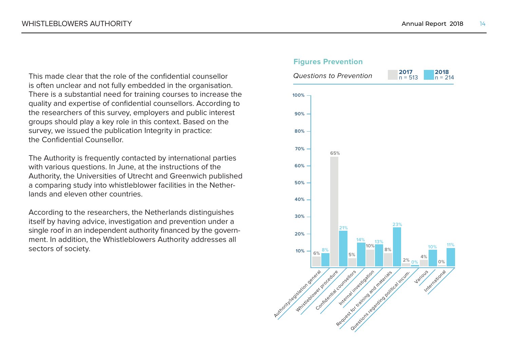This made clear that the role of the confidential counsellor is often unclear and not fully embedded in the organisation. There is a substantial need for training courses to increase the quality and expertise of confidential counsellors. According to the researchers of this survey, employers and public interest groups should play a key role in this context. Based on the survey, we issued the publication Integrity in practice: the Confidential Counsellor.

The Authority is frequently contacted by international parties with various questions. In June, at the instructions of the Authority, the Universities of Utrecht and Greenwich published a comparing study into whistleblower facilities in the Netherlands and eleven other countries.

According to the researchers, the Netherlands distinguishes itself by having advice, investigation and prevention under a single roof in an independent authority financed by the government. In addition, the Whistleblowers Authority addresses all sectors of society. **88** 

#### **Figures Prevention**

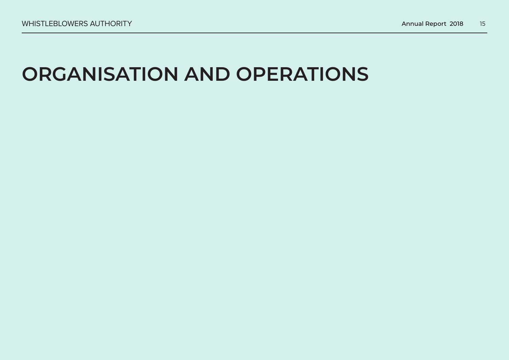# <span id="page-14-0"></span>**ORGANISATION AND OPERATIONS**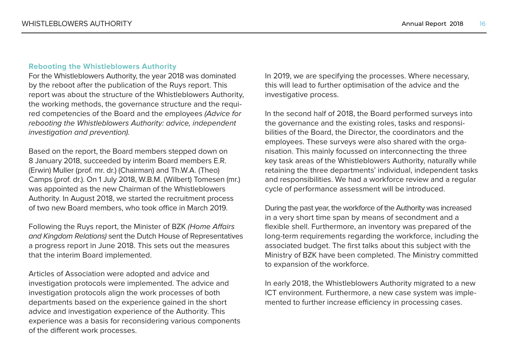### **Rebooting the Whistleblowers Authority**

For the Whistleblowers Authority, the year 2018 was dominated by the reboot after the publication of the Ruys report. This report was about the structure of the Whistleblowers Authority, the working methods, the governance structure and the required competencies of the Board and the employees (Advice for rebooting the Whistleblowers Authority: advice, independent investigation and prevention).

Based on the report, the Board members stepped down on 8 January 2018, succeeded by interim Board members E.R. (Erwin) Muller (prof. mr. dr.) (Chairman) and Th.W.A. (Theo) Camps (prof. dr.). On 1 July 2018, W.B.M. (Wilbert) Tomesen (mr.) was appointed as the new Chairman of the Whistleblowers Authority. In August 2018, we started the recruitment process of two new Board members, who took office in March 2019.

Following the Ruys report, the Minister of BZK (Home Affairs and Kingdom Relations) sent the Dutch House of Representatives a progress report in June 2018. This sets out the measures that the interim Board implemented.

Articles of Association were adopted and advice and investigation protocols were implemented. The advice and investigation protocols align the work processes of both departments based on the experience gained in the short advice and investigation experience of the Authority. This experience was a basis for reconsidering various components of the different work processes.

In 2019, we are specifying the processes. Where necessary, this will lead to further optimisation of the advice and the investigative process.

In the second half of 2018, the Board performed surveys into the governance and the existing roles, tasks and responsibilities of the Board, the Director, the coordinators and the employees. These surveys were also shared with the organisation. This mainly focussed on interconnecting the three key task areas of the Whistleblowers Authority, naturally while retaining the three departments' individual, independent tasks and responsibilities. We had a workforce review and a regular cycle of performance assessment will be introduced.

During the past year, the workforce of the Authority was increased in a very short time span by means of secondment and a flexible shell. Furthermore, an inventory was prepared of the long-term requirements regarding the workforce, including the associated budget. The first talks about this subject with the Ministry of BZK have been completed. The Ministry committed to expansion of the workforce.

In early 2018, the Whistleblowers Authority migrated to a new ICT environment. Furthermore, a new case system was implemented to further increase efficiency in processing cases.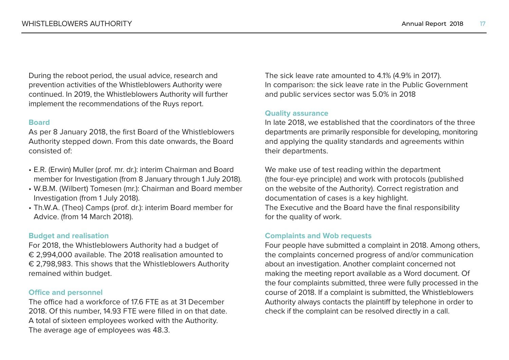During the reboot period, the usual advice, research and prevention activities of the Whistleblowers Authority were continued. In 2019, the Whistleblowers Authority will further implement the recommendations of the Ruys report.

### **Board**

As per 8 January 2018, the first Board of the Whistleblowers Authority stepped down. From this date onwards, the Board consisted of:

- E.R. (Erwin) Muller (prof. mr. dr.): interim Chairman and Board member for Investigation (from 8 January through 1 July 2018).
- W.B.M. (Wilbert) Tomesen (mr.): Chairman and Board member Investigation (from 1 July 2018).
- Th.W.A. (Theo) Camps (prof. dr.): interim Board member for Advice. (from 14 March 2018).

### **Budget and realisation**

For 2018, the Whistleblowers Authority had a budget of € 2,994,000 available. The 2018 realisation amounted to € 2,798,983. This shows that the Whistleblowers Authority remained within budget.

### **Office and personnel**

The office had a workforce of 17.6 FTE as at 31 December 2018. Of this number, 14.93 FTE were filled in on that date. A total of sixteen employees worked with the Authority. The average age of employees was 48.3.

The sick leave rate amounted to 4.1% (4.9% in 2017). In comparison: the sick leave rate in the Public Government and public services sector was 5.0% in 2018

### **Quality assurance**

In late 2018, we established that the coordinators of the three departments are primarily responsible for developing, monitoring and applying the quality standards and agreements within their departments.

We make use of test reading within the department (the four-eye principle) and work with protocols (published on the website of the Authority). Correct registration and documentation of cases is a key highlight. The Executive and the Board have the final responsibility for the quality of work.

# **Complaints and Wob requests**

Four people have submitted a complaint in 2018. Among others, the complaints concerned progress of and/or communication about an investigation. Another complaint concerned not making the meeting report available as a Word document. Of the four complaints submitted, three were fully processed in the course of 2018. If a complaint is submitted, the Whistleblowers Authority always contacts the plaintiff by telephone in order to check if the complaint can be resolved directly in a call.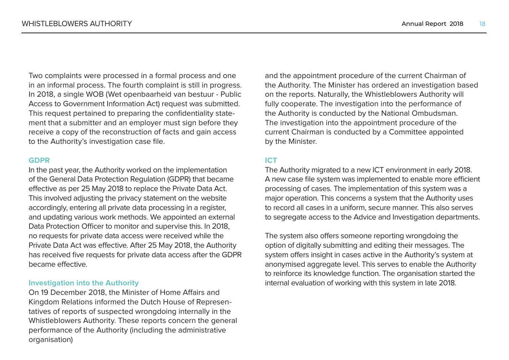Two complaints were processed in a formal process and one in an informal process. The fourth complaint is still in progress. In 2018, a single WOB (Wet openbaarheid van bestuur - Public Access to Government Information Act) request was submitted. This request pertained to preparing the confidentiality statement that a submitter and an employer must sign before they receive a copy of the reconstruction of facts and gain access to the Authority's investigation case file.

#### **GDPR**

In the past year, the Authority worked on the implementation of the General Data Protection Regulation (GDPR) that became effective as per 25 May 2018 to replace the Private Data Act. This involved adjusting the privacy statement on the website accordingly, entering all private data processing in a register, and updating various work methods. We appointed an external Data Protection Officer to monitor and supervise this. In 2018, no requests for private data access were received while the Private Data Act was effective. After 25 May 2018, the Authority has received five requests for private data access after the GDPR became effective.

### **Investigation into the Authority**

On 19 December 2018, the Minister of Home Affairs and Kingdom Relations informed the Dutch House of Representatives of reports of suspected wrongdoing internally in the Whistleblowers Authority. These reports concern the general performance of the Authority (including the administrative organisation)

and the appointment procedure of the current Chairman of the Authority. The Minister has ordered an investigation based on the reports. Naturally, the Whistleblowers Authority will fully cooperate. The investigation into the performance of the Authority is conducted by the National Ombudsman. The investigation into the appointment procedure of the current Chairman is conducted by a Committee appointed by the Minister.

# **ICT**

The Authority migrated to a new ICT environment in early 2018. A new case file system was implemented to enable more efficient processing of cases. The implementation of this system was a major operation. This concerns a system that the Authority uses to record all cases in a uniform, secure manner. This also serves to segregate access to the Advice and Investigation departments.

The system also offers someone reporting wrongdoing the option of digitally submitting and editing their messages. The system offers insight in cases active in the Authority's system at anonymised aggregate level. This serves to enable the Authority to reinforce its knowledge function. The organisation started the internal evaluation of working with this system in late 2018.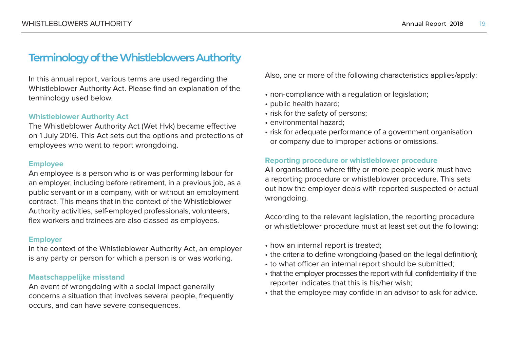# <span id="page-18-0"></span>**Terminology of the Whistleblowers Authority**

In this annual report, various terms are used regarding the Whistleblower Authority Act. Please find an explanation of the terminology used below.

### **Whistleblower Authority Act**

The Whistleblower Authority Act (Wet Hvk) became effective on 1 July 2016. This Act sets out the options and protections of employees who want to report wrongdoing.

#### **Employee**

An employee is a person who is or was performing labour for an employer, including before retirement, in a previous job, as a public servant or in a company, with or without an employment contract. This means that in the context of the Whistleblower Authority activities, self-employed professionals, volunteers, flex workers and trainees are also classed as employees.

#### **Employer**

In the context of the Whistleblower Authority Act, an employer is any party or person for which a person is or was working.

### **Maatschappelijke misstand**

An event of wrongdoing with a social impact generally concerns a situation that involves several people, frequently occurs, and can have severe consequences.

Also, one or more of the following characteristics applies/apply:

- non-compliance with a regulation or legislation;
- public health hazard;
- risk for the safety of persons;
- environmental hazard;
- risk for adequate performance of a government organisation or company due to improper actions or omissions.

### **Reporting procedure or whistleblower procedure**

All organisations where fifty or more people work must have a reporting procedure or whistleblower procedure. This sets out how the employer deals with reported suspected or actual wrongdoing.

According to the relevant legislation, the reporting procedure or whistleblower procedure must at least set out the following:

- how an internal report is treated;
- the criteria to define wrongdoing (based on the legal definition);
- to what officer an internal report should be submitted;
- that the employer processes the report with full confidentiality if the reporter indicates that this is his/her wish;
- that the employee may confide in an advisor to ask for advice.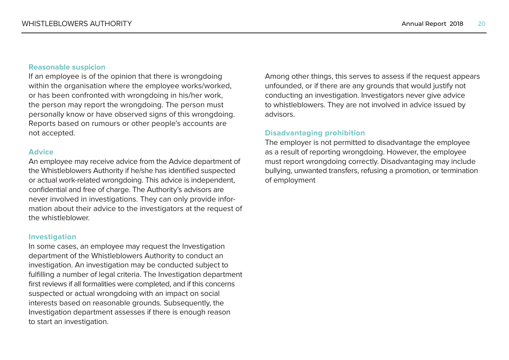## **Reasonable suspicion**

If an employee is of the opinion that there is wrongdoing within the organisation where the employee works/worked, or has been confronted with wrongdoing in his/her work, the person may report the wrongdoing. The person must personally know or have observed signs of this wrongdoing. Reports based on rumours or other people's accounts are not accepted.

### **Advice**

An employee may receive advice from the Advice department of the Whistleblowers Authority if he/she has identified suspected or actual work-related wrongdoing. This advice is independent, confidential and free of charge. The Authority's advisors are never involved in investigations. They can only provide information about their advice to the investigators at the request of the whistleblower.

#### **Investigation**

In some cases, an employee may request the Investigation department of the Whistleblowers Authority to conduct an investigation. An investigation may be conducted subject to fulfilling a number of legal criteria. The Investigation department first reviews if all formalities were completed, and if this concerns suspected or actual wrongdoing with an impact on social interests based on reasonable grounds. Subsequently, the Investigation department assesses if there is enough reason to start an investigation.

Among other things, this serves to assess if the request appears unfounded, or if there are any grounds that would justify not conducting an investigation. Investigators never give advice to whistleblowers. They are not involved in advice issued by advisors.

## **Disadvantaging prohibition**

The employer is not permitted to disadvantage the employee as a result of reporting wrongdoing. However, the employee must report wrongdoing correctly. Disadvantaging may include bullying, unwanted transfers, refusing a promotion, or termination of employment